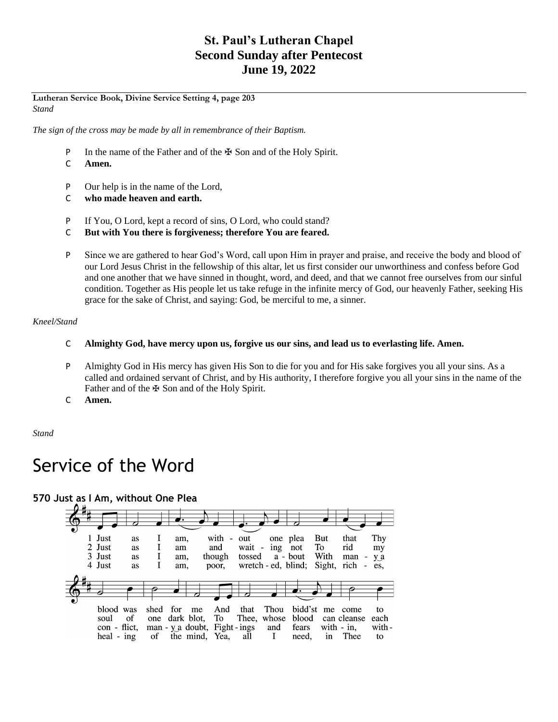# **St. Paul's Lutheran Chapel Second Sunday after Pentecost June 19, 2022**

#### **Lutheran Service Book, Divine Service Setting 4, page 203** *Stand*

*The sign of the cross may be made by all in remembrance of their Baptism.*

- P In the name of the Father and of the  $\mathbb F$  Son and of the Holy Spirit.
- C **Amen.**
- P Our help is in the name of the Lord,
- C **who made heaven and earth.**
- P If You, O Lord, kept a record of sins, O Lord, who could stand?
- C **But with You there is forgiveness; therefore You are feared.**
- P Since we are gathered to hear God's Word, call upon Him in prayer and praise, and receive the body and blood of our Lord Jesus Christ in the fellowship of this altar, let us first consider our unworthiness and confess before God and one another that we have sinned in thought, word, and deed, and that we cannot free ourselves from our sinful condition. Together as His people let us take refuge in the infinite mercy of God, our heavenly Father, seeking His grace for the sake of Christ, and saying: God, be merciful to me, a sinner.

### *Kneel/Stand*

- C **Almighty God, have mercy upon us, forgive us our sins, and lead us to everlasting life. Amen.**
- P Almighty God in His mercy has given His Son to die for you and for His sake forgives you all your sins. As a called and ordained servant of Christ, and by His authority, I therefore forgive you all your sins in the name of the Father and of the  $\mathbb F$  Son and of the Holy Spirit.
- C **Amen.**

*Stand*

# Service of the Word

**570 Just as I Am, without One Plea**

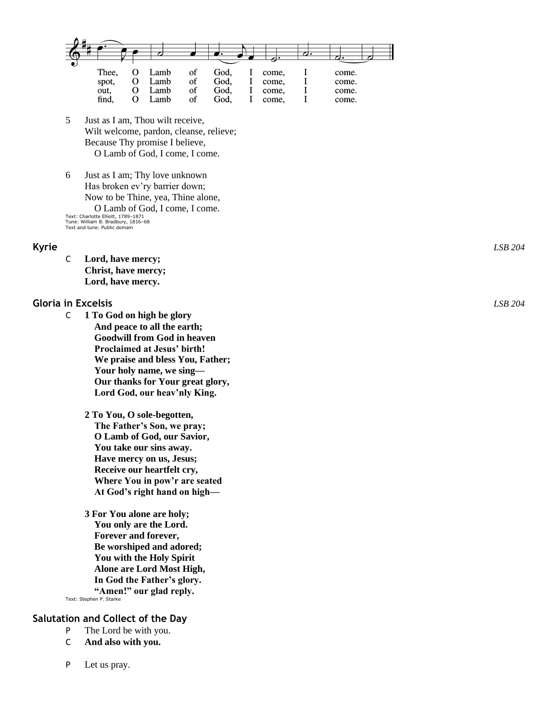

- 5 Just as I am, Thou wilt receive, Wilt welcome, pardon, cleanse, relieve; Because Thy promise I believe, O Lamb of God, I come, I come.
- 6 Just as I am; Thy love unknown Has broken ev'ry barrier down; Now to be Thine, yea, Thine alone, O Lamb of God, I come, I come. Text: Charlotte Elliott, 1789 –1871 Tune: William B. Bradbury, 1816 –68 Text and tune: Public domain

C **Lord, have mercy; Christ, have mercy; Lord, have mercy.**

#### **Gloria in Excelsis** *LSB 204*

- C **1 To God on high be glory And peace to all the earth; Goodwill from God in heaven Proclaimed at Jesus' birth! We praise and bless You, Father; Your holy name, we sing — Our thanks for Your great glory, Lord God, our heav'nly King.**
	- **2 To You, O sole -begotten, The Father's Son, we pray; O Lamb of God, our Savior, You take our sins away. Have mercy on us, Jesus; Receive our heartfelt cry, Where You in pow'r are seated At God's right hand on high —**
- **3 For You alone are holy; You only are the Lord. Forever and forever, Be worshiped and adored; You with the Holy Spirit Alone are Lord Most High, In God the Father's glory. "Amen!" our glad reply.** Text: Stephen P. Starke

### **Salutation and Collect of the Day**

- P The Lord be with you.
- C **And also with you.**
- P Let us pray.

**Kyrie** *LSB 204*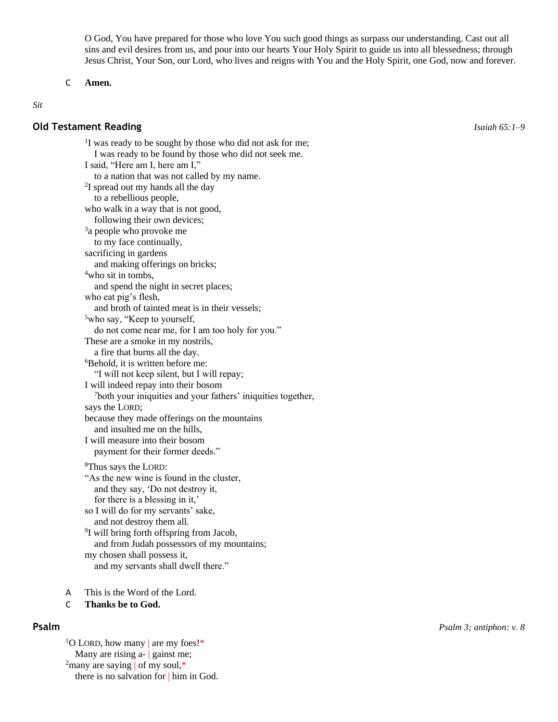O God, You have prepared for those who love You such good things as surpass our understanding. Cast out all sins and evil desires from us, and pour into our hearts Your Holy Spirit to guide us into all blessedness; through Jesus Christ, Your Son, our Lord, who lives and reigns with You and the Holy Spirit, one God, now and forever.

#### C **Amen.**

#### *Sit*

#### **Old Testament Reading** *Isaiah 65:1–9*

<sup>1</sup>I was ready to be sought by those who did not ask for me; I was ready to be found by those who did not seek me. I said, "Here am I, here am I," to a nation that was not called by my name. <sup>2</sup>I spread out my hands all the day to a rebellious people, who walk in a way that is not good, following their own devices; <sup>3</sup>a people who provoke me to my face continually, sacrificing in gardens and making offerings on bricks; <sup>4</sup>who sit in tombs, and spend the night in secret places; who eat pig's flesh, and broth of tainted meat is in their vessels; <sup>5</sup>who say, "Keep to yourself, do not come near me, for I am too holy for you." These are a smoke in my nostrils, a fire that burns all the day. <sup>6</sup>Behold, it is written before me: "I will not keep silent, but I will repay; I will indeed repay into their bosom <sup>7</sup>both your iniquities and your fathers' iniquities together, says the LORD; because they made offerings on the mountains and insulted me on the hills, I will measure into their bosom payment for their former deeds." <sup>8</sup>Thus says the LORD: "As the new wine is found in the cluster, and they say, 'Do not destroy it, for there is a blessing in it,' so I will do for my servants' sake, and not destroy them all. 9 I will bring forth offspring from Jacob, and from Judah possessors of my mountains; my chosen shall possess it,

and my servants shall dwell there."

A This is the Word of the Lord.

#### C **Thanks be to God.**

<sup>1</sup>O LORD, how many are my foes!\* Many are rising a- | gainst me; <sup>2</sup>many are saying of my soul,\* there is no salvation for | him in God.

**Psalm** *Psalm 3; antiphon: v. 8*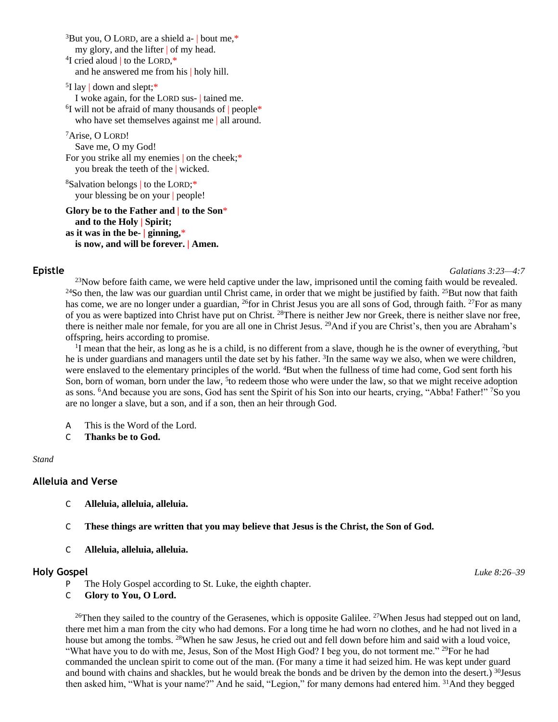$3$ But you, O LORD, are a shield a- | bout me, $*$ my glory, and the lifter | of my head. <sup>4</sup>I cried aloud | to the LORD,\* and he answered me from his | holy hill.

<sup>5</sup>I lay | down and slept;\* I woke again, for the LORD sus- | tained me. <sup>6</sup>I will not be afraid of many thousands of people\* who have set themselves against me | all around.

<sup>7</sup>Arise, O LORD! Save me, O my God! For you strike all my enemies on the cheek;\* you break the teeth of the | wicked.

<sup>8</sup>Salvation belongs | to the LORD;\* your blessing be on your | people!

#### **Glory be to the Father and | to the Son**\* **and to the Holy | Spirit; as it was in the be- | ginning,**\* **is now, and will be forever. | Amen.**

**Epistle** *Galatians 3:23—4:7*

 $^{23}$ Now before faith came, we were held captive under the law, imprisoned until the coming faith would be revealed. <sup>24</sup>So then, the law was our guardian until Christ came, in order that we might be justified by faith. <sup>25</sup>But now that faith has come, we are no longer under a guardian, <sup>26</sup>for in Christ Jesus you are all sons of God, through faith. <sup>27</sup>For as many of you as were baptized into Christ have put on Christ. <sup>28</sup>There is neither Jew nor Greek, there is neither slave nor free, there is neither male nor female, for you are all one in Christ Jesus. <sup>29</sup>And if you are Christ's, then you are Abraham's offspring, heirs according to promise.

<sup>1</sup>I mean that the heir, as long as he is a child, is no different from a slave, though he is the owner of everything, <sup>2</sup>but he is under guardians and managers until the date set by his father. <sup>3</sup>In the same way we also, when we were children, were enslaved to the elementary principles of the world. <sup>4</sup>But when the fullness of time had come, God sent forth his Son, born of woman, born under the law, <sup>5</sup> to redeem those who were under the law, so that we might receive adoption as sons. <sup>6</sup>And because you are sons, God has sent the Spirit of his Son into our hearts, crying, "Abba! Father!" <sup>7</sup>So you are no longer a slave, but a son, and if a son, then an heir through God.

- A This is the Word of the Lord.
- C **Thanks be to God.**

#### *Stand*

### **Alleluia and Verse**

- C **Alleluia, alleluia, alleluia.**
- C **These things are written that you may believe that Jesus is the Christ, the Son of God.**
- C **Alleluia, alleluia, alleluia.**

#### **Holy Gospel** *Luke 8:26–39*

- P The Holy Gospel according to St. Luke, the eighth chapter.
- C **Glory to You, O Lord.**

<sup>26</sup>Then they sailed to the country of the Gerasenes, which is opposite Galilee. <sup>27</sup>When Jesus had stepped out on land, there met him a man from the city who had demons. For a long time he had worn no clothes, and he had not lived in a house but among the tombs. <sup>28</sup>When he saw Jesus, he cried out and fell down before him and said with a loud voice, "What have you to do with me, Jesus, Son of the Most High God? I beg you, do not torment me." <sup>29</sup>For he had commanded the unclean spirit to come out of the man. (For many a time it had seized him. He was kept under guard and bound with chains and shackles, but he would break the bonds and be driven by the demon into the desert.) <sup>30</sup>Jesus then asked him, "What is your name?" And he said, "Legion," for many demons had entered him. <sup>31</sup>And they begged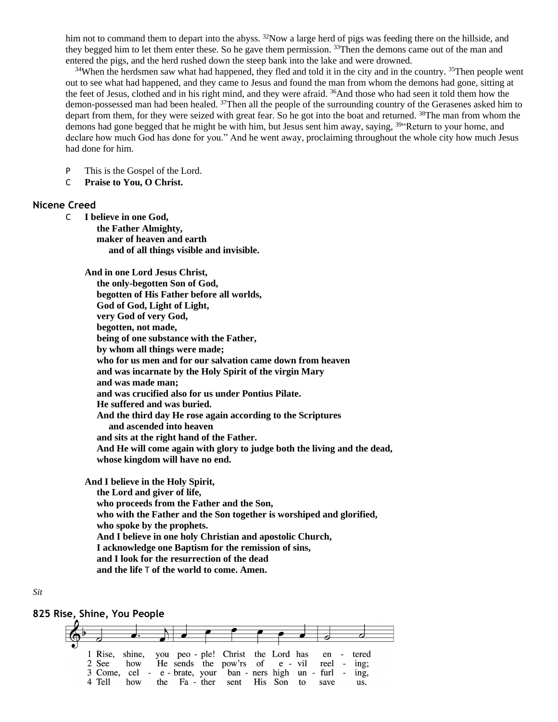him not to command them to depart into the abyss. <sup>32</sup>Now a large herd of pigs was feeding there on the hillside, and they begged him to let them enter these. So he gave them permission. <sup>33</sup>Then the demons came out of the man and entered the pigs, and the herd rushed down the steep bank into the lake and were drowned.

 $34$ When the herdsmen saw what had happened, they fled and told it in the city and in the country.  $35$ Then people went out to see what had happened, and they came to Jesus and found the man from whom the demons had gone, sitting at the feet of Jesus, clothed and in his right mind, and they were afraid. <sup>36</sup>And those who had seen it told them how the demon-possessed man had been healed. <sup>37</sup>Then all the people of the surrounding country of the Gerasenes asked him to depart from them, for they were seized with great fear. So he got into the boat and returned. <sup>38</sup>The man from whom the demons had gone begged that he might be with him, but Jesus sent him away, saying, <sup>39"</sup>Return to your home, and declare how much God has done for you." And he went away, proclaiming throughout the whole city how much Jesus had done for him.

P This is the Gospel of the Lord.

C **Praise to You, O Christ.**

#### **Nicene Creed**

C **I believe in one God,**

 **the Father Almighty, maker of heaven and earth and of all things visible and invisible.**

**And in one Lord Jesus Christ,**

 **the only-begotten Son of God, begotten of His Father before all worlds, God of God, Light of Light, very God of very God, begotten, not made, being of one substance with the Father, by whom all things were made; who for us men and for our salvation came down from heaven and was incarnate by the Holy Spirit of the virgin Mary and was made man; and was crucified also for us under Pontius Pilate. He suffered and was buried. And the third day He rose again according to the Scriptures and ascended into heaven and sits at the right hand of the Father. And He will come again with glory to judge both the living and the dead, whose kingdom will have no end.**

**And I believe in the Holy Spirit, the Lord and giver of life, who proceeds from the Father and the Son, who with the Father and the Son together is worshiped and glorified, who spoke by the prophets. And I believe in one holy Christian and apostolic Church, I acknowledge one Baptism for the remission of sins, and I look for the resurrection of the dead and the life** T **of the world to come. Amen.**

#### *Sit*

#### **825 Rise, Shine, You People**

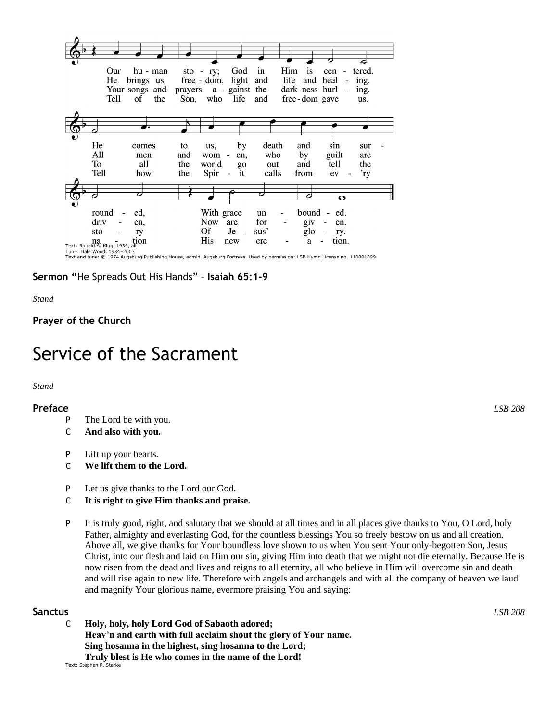

**Sermon "**He Spreads Out His Hands" – **Isaiah 65:1-9**

*Stand*

**Prayer of the Church**

# Service of the Sacrament

*Stand*

### **Preface** *LSB 208*

- P The Lord be with you.
- C **And also with you.**
- P Lift up your hearts.
- C **We lift them to the Lord.**
- P Let us give thanks to the Lord our God.
- C **It is right to give Him thanks and praise.**
- P It is truly good, right, and salutary that we should at all times and in all places give thanks to You, O Lord, holy Father, almighty and everlasting God, for the countless blessings You so freely bestow on us and all creation. Above all, we give thanks for Your boundless love shown to us when You sent Your only-begotten Son, Jesus Christ, into our flesh and laid on Him our sin, giving Him into death that we might not die eternally. Because He is now risen from the dead and lives and reigns to all eternity, all who believe in Him will overcome sin and death and will rise again to new life. Therefore with angels and archangels and with all the company of heaven we laud and magnify Your glorious name, evermore praising You and saying:

### **Sanctus** *LSB 208*

C **Holy, holy, holy Lord God of Sabaoth adored; Heav'n and earth with full acclaim shout the glory of Your name. Sing hosanna in the highest, sing hosanna to the Lord; Truly blest is He who comes in the name of the Lord!**

Text: Stephen P. Starke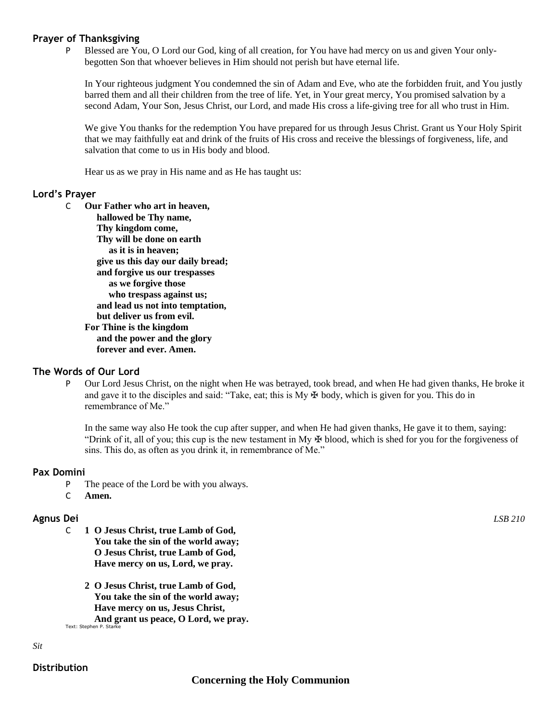#### **Prayer of Thanksgiving**

P Blessed are You, O Lord our God, king of all creation, for You have had mercy on us and given Your onlybegotten Son that whoever believes in Him should not perish but have eternal life.

In Your righteous judgment You condemned the sin of Adam and Eve, who ate the forbidden fruit, and You justly barred them and all their children from the tree of life. Yet, in Your great mercy, You promised salvation by a second Adam, Your Son, Jesus Christ, our Lord, and made His cross a life-giving tree for all who trust in Him.

We give You thanks for the redemption You have prepared for us through Jesus Christ. Grant us Your Holy Spirit that we may faithfully eat and drink of the fruits of His cross and receive the blessings of forgiveness, life, and salvation that come to us in His body and blood.

Hear us as we pray in His name and as He has taught us:

#### **Lord's Prayer**

C **Our Father who art in heaven, hallowed be Thy name, Thy kingdom come, Thy will be done on earth as it is in heaven; give us this day our daily bread; and forgive us our trespasses as we forgive those who trespass against us; and lead us not into temptation, but deliver us from evil. For Thine is the kingdom and the power and the glory forever and ever. Amen.**

### **The Words of Our Lord**

P Our Lord Jesus Christ, on the night when He was betrayed, took bread, and when He had given thanks, He broke it and gave it to the disciples and said: "Take, eat; this is  $My \oplus body$ , which is given for you. This do in remembrance of Me."

In the same way also He took the cup after supper, and when He had given thanks, He gave it to them, saying: "Drink of it, all of you; this cup is the new testament in My  $\oplus$  blood, which is shed for you for the forgiveness of sins. This do, as often as you drink it, in remembrance of Me."

#### **Pax Domini**

- P The peace of the Lord be with you always.
- C **Amen.**

### **Agnus Dei** *LSB 210*

- C **1 O Jesus Christ, true Lamb of God, You take the sin of the world away; O Jesus Christ, true Lamb of God, Have mercy on us, Lord, we pray.**
	- **2 O Jesus Christ, true Lamb of God, You take the sin of the world away; Have mercy on us, Jesus Christ, And grant us peace, O Lord, we pray.**

Text: Stephen P. Stark

*Sit*

### **Distribution**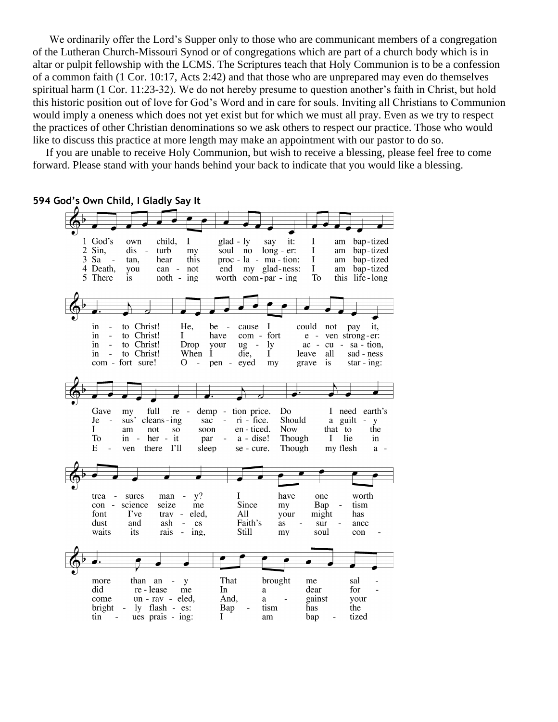We ordinarily offer the Lord's Supper only to those who are communicant members of a congregation of the Lutheran Church-Missouri Synod or of congregations which are part of a church body which is in altar or pulpit fellowship with the LCMS. The Scriptures teach that Holy Communion is to be a confession of a common faith (1 Cor. 10:17, Acts 2:42) and that those who are unprepared may even do themselves spiritual harm (1 Cor. 11:23-32). We do not hereby presume to question another's faith in Christ, but hold this historic position out of love for God's Word and in care for souls. Inviting all Christians to Communion would imply a oneness which does not yet exist but for which we must all pray. Even as we try to respect the practices of other Christian denominations so we ask others to respect our practice. Those who would like to discuss this practice at more length may make an appointment with our pastor to do so.

If you are unable to receive Holy Communion, but wish to receive a blessing, please feel free to come forward. Please stand with your hands behind your back to indicate that you would like a blessing.

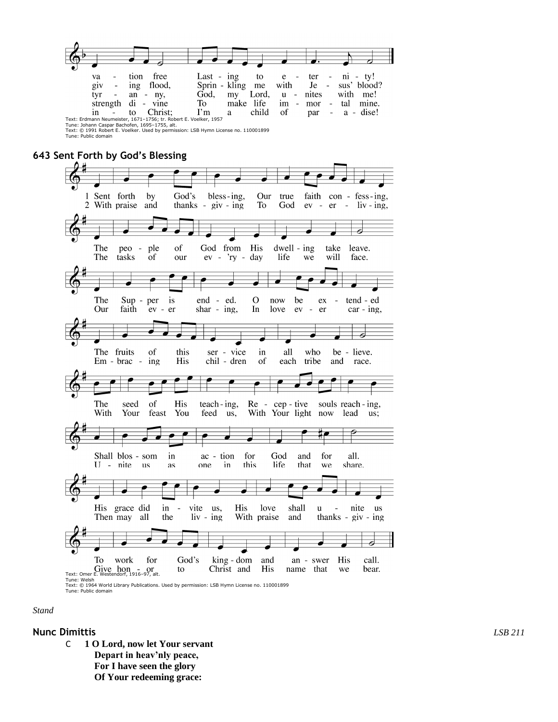

Text: Erdmann Neumeister, 1671–1756; tr. Robert E. Voelker, 1957<br>Tune: Johann Caspar Bachofen, 1695–1755, alt.<br>Text: © 1991 Robert E. Voelker. Used by permission: LSB Hymn License no. 110001899 Tune: Public domain



*Stand*

#### **Nunc Dimittis** *LSB 211*

C **1 O Lord, now let Your servant Depart in heav'nly peace, For I have seen the glory Of Your redeeming grace:**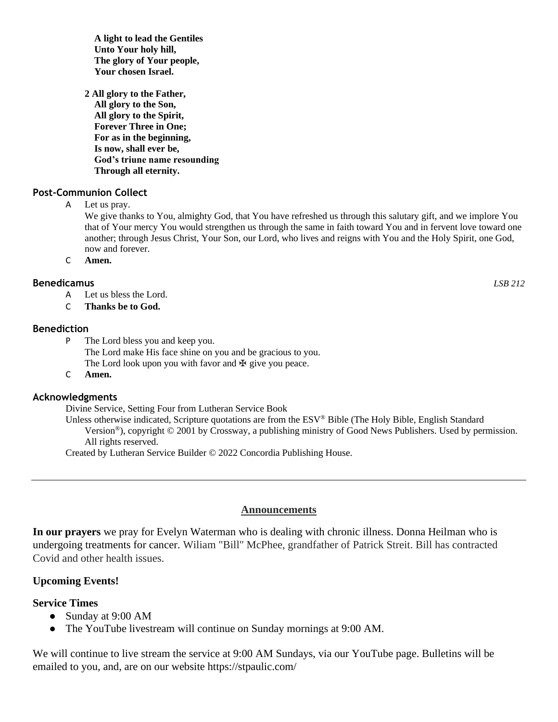**A light to lead the Gentiles Unto Your holy hill, The glory of Your people, Your chosen Israel.**

**2 All glory to the Father, All glory to the Son, All glory to the Spirit, Forever Three in One; For as in the beginning, Is now, shall ever be, God's triune name resounding Through all eternity.**

### **Post-Communion Collect**

A Let us pray.

We give thanks to You, almighty God, that You have refreshed us through this salutary gift, and we implore You that of Your mercy You would strengthen us through the same in faith toward You and in fervent love toward one another; through Jesus Christ, Your Son, our Lord, who lives and reigns with You and the Holy Spirit, one God, now and forever.

C **Amen.**

#### **Benedicamus** *LSB 212*

- A Let us bless the Lord.
- C **Thanks be to God.**

#### **Benediction**

- P The Lord bless you and keep you. The Lord make His face shine on you and be gracious to you. The Lord look upon you with favor and  $\mathbf{\Psi}$  give you peace.
- C **Amen.**

### **Acknowledgments**

Divine Service, Setting Four from Lutheran Service Book

Unless otherwise indicated, Scripture quotations are from the ESV® Bible (The Holy Bible, English Standard Version®), copyright © 2001 by Crossway, a publishing ministry of Good News Publishers. Used by permission. All rights reserved.

Created by Lutheran Service Builder © 2022 Concordia Publishing House.

#### **Announcements**

**In our prayers** we pray for Evelyn Waterman who is dealing with chronic illness. Donna Heilman who is undergoing treatments for cancer. Wiliam "Bill" McPhee, grandfather of Patrick Streit. Bill has contracted Covid and other health issues.

### **Upcoming Events!**

### **Service Times**

- Sunday at 9:00 AM
- The YouTube livestream will continue on Sunday mornings at 9:00 AM.

We will continue to live stream the service at 9:00 AM Sundays, via our YouTube page. Bulletins will be emailed to you, and, are on our website https://stpaulic.com/